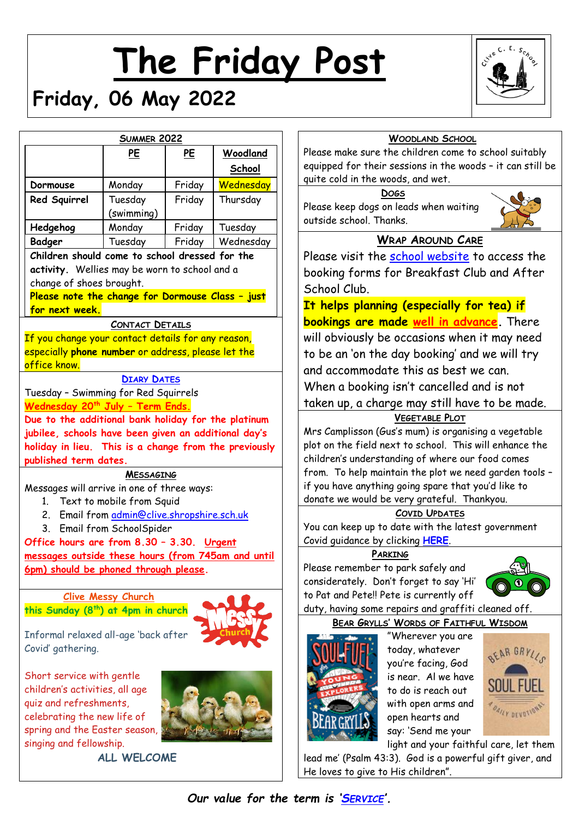# **The Friday Post**

# **Friday, 06 May 2022**



|                                                                                                               | <b>SUMMER 2022</b>                       |        |           |
|---------------------------------------------------------------------------------------------------------------|------------------------------------------|--------|-----------|
|                                                                                                               | PE                                       | PE     | Woodland  |
|                                                                                                               |                                          |        | School    |
| Dormouse                                                                                                      |                                          | Friday | Wednesday |
| Red Squirrel                                                                                                  | Monday<br>Tuesday                        | Friday | Thursday  |
|                                                                                                               | (swimming)                               |        |           |
| Hedgehog                                                                                                      | Monday                                   | Friday | Tuesday   |
| Badger                                                                                                        | Tuesday                                  | Friday | Wednesday |
| Children should come to school dressed for the                                                                |                                          |        |           |
| activity. Wellies may be worn to school and a                                                                 |                                          |        |           |
| change of shoes brought.                                                                                      |                                          |        |           |
| Please note the change for Dormouse Class - just                                                              |                                          |        |           |
| for next week.                                                                                                |                                          |        |           |
|                                                                                                               | <b>CONTACT DETAILS</b>                   |        |           |
| If you change your contact details for any reason,                                                            |                                          |        |           |
| especially phone number or address, please let the                                                            |                                          |        |           |
| office know.                                                                                                  |                                          |        |           |
|                                                                                                               | <b>DIARY DATES</b>                       |        |           |
| Tuesday - Swimming for Red Squirrels                                                                          |                                          |        |           |
| Wednesday 20 <sup>th</sup> July - Term Ends.                                                                  |                                          |        |           |
| Due to the additional bank holiday for the platinum                                                           |                                          |        |           |
| jubilee, schools have been given an additional day's<br>holiday in lieu. This is a change from the previously |                                          |        |           |
| published term dates.                                                                                         |                                          |        |           |
|                                                                                                               | <b>MESSAGING</b>                         |        |           |
| Messages will arrive in one of three ways:                                                                    |                                          |        |           |
| $1_{-}$                                                                                                       | Text to mobile from Squid                |        |           |
| $2_{-}$                                                                                                       | Email from admin@clive.shropshire.sch.uk |        |           |
| 3.                                                                                                            | Email from SchoolSpider                  |        |           |
| Office hours are from 8.30 - 3.30. Urgent                                                                     |                                          |        |           |
| messages outside these hours (from 745am and until                                                            |                                          |        |           |
| 6pm) should be phoned through please.                                                                         |                                          |        |           |
|                                                                                                               |                                          |        |           |
|                                                                                                               | <b>Clive Messy Church</b>                |        |           |
| this Sunday (8 <sup>th</sup> ) at 4pm in church                                                               |                                          |        |           |
|                                                                                                               |                                          |        |           |
| Informal relaxed all-age 'back after<br>Covid' gathering.                                                     |                                          |        |           |
|                                                                                                               |                                          |        |           |
| Short service with gentle                                                                                     |                                          |        |           |
| children's activities, all age                                                                                |                                          |        |           |
| quiz and refreshments,                                                                                        |                                          |        |           |
| celebrating the new life of                                                                                   |                                          |        |           |
| spring and the Easter season,                                                                                 |                                          |        |           |
| singing and fellowship.                                                                                       |                                          |        |           |
|                                                                                                               | <b>ALL WELCOME</b>                       |        |           |

### **WOODLAND SCHOOL**

ise make sure the children come to school suitably iipped for their sessions in the woods - it can still be te cold in the woods, and wet.

#### **DOGS**

ase keep dogs on leads when waiting side school. Thanks.



# **WRAP AROUND CARE**

ase visit the [school website](http://www.clivecofeprimaryschool.co.uk/page/wrap-around-care/85252) to access the oking forms for Breakfast Club and After hool Club.

**helps planning (especially for tea) if bookings are made well in advance.** There I obviously be occasions when it may need be an 'on the day booking' and we will try d accommodate this as best we can. hen a booking isn't cancelled and is not ken up, a charge may still have to be made.

# **VEGETABLE PLOT**

s Camplisson (Gus's mum) is organising a vegetable t on the field next to school. This will enhance the ldren's understanding of where our food comes m. To help maintain the plot we need garden tools ou have anything going spare that you'd like to ate we would be very grateful. Thankyou.

# **COVID UPDATES**

can keep up to date with the latest government id guidance by clicking **[HERE](https://www.gov.uk/government/publications/what-parents-and-carers-need-to-know-about-early-years-providers-schools-and-colleges-during-the-coronavirus-covid-19-outbreak/step-4-update-what-parents-and-carers-need-to-know-about-early-years-providers-schools-and-colleges)**.

# **PARKING**

ase remember to park safely and siderately. Don't forget to say 'Hi' Pat and Pete!! Pete is currently off



#### y, having some repairs and graffiti cleaned off. **BEAR GRYLLS' WORDS OF FAITHFUL WISDOM**



"Wherever you are today, whatever you're facing, God is near. Al we have to do is reach out with open arms and open hearts and say: 'Send me your



light and your faithful care, let them lead me' (Psalm 43:3). God is a powerful gift giver, and He loves to give to His children".

*Our value for the term is 'S[ERVICE](http://www.clivecofeprimaryschool.co.uk/serve_file/6120839)'.*